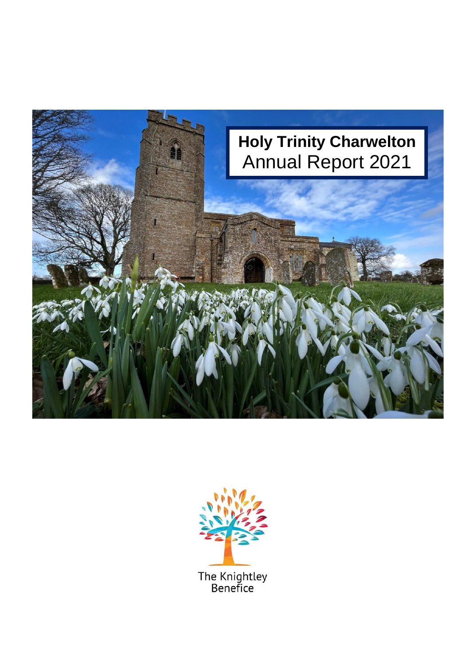

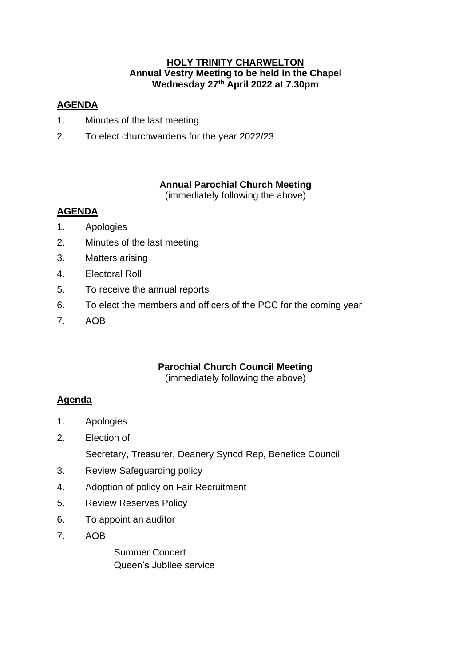## **HOLY TRINITY CHARWELTON Annual Vestry Meeting to be held in the Chapel Wednesday 27th April 2022 at 7.30pm**

# **AGENDA**

- 1. Minutes of the last meeting
- 2. To elect churchwardens for the year 2022/23

# **Annual Parochial Church Meeting**

(immediately following the above)

# **AGENDA**

- 1. Apologies
- 2. Minutes of the last meeting
- 3. Matters arising
- 4. Electoral Roll
- 5. To receive the annual reports
- 6. To elect the members and officers of the PCC for the coming year
- 7. AOB

# **Parochial Church Council Meeting**

(immediately following the above)

# **Agenda**

- 1. Apologies
- 2. Election of Secretary, Treasurer, Deanery Synod Rep, Benefice Council
- 3. Review Safeguarding policy
- 4. Adoption of policy on Fair Recruitment
- 5. Review Reserves Policy
- 6. To appoint an auditor
- 7. AOB

Summer Concert Queen's Jubilee service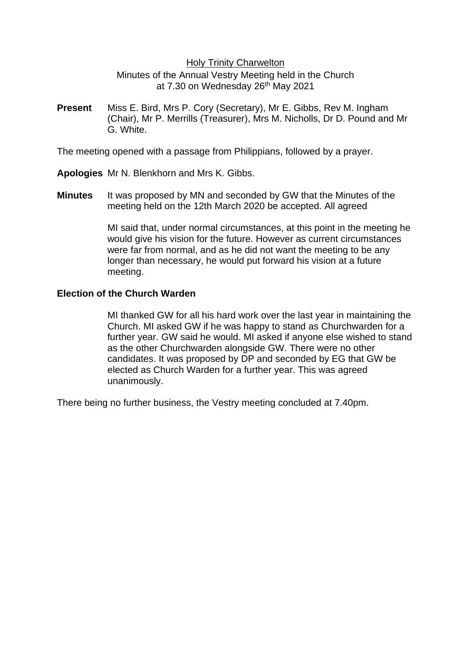### Holy Trinity Charwelton

Minutes of the Annual Vestry Meeting held in the Church at 7.30 on Wednesday 26<sup>th</sup> May 2021

**Present** Miss E. Bird, Mrs P. Cory (Secretary), Mr E. Gibbs, Rev M. Ingham (Chair), Mr P. Merrills (Treasurer), Mrs M. Nicholls, Dr D. Pound and Mr G. White.

The meeting opened with a passage from Philippians, followed by a prayer.

- **Apologies** Mr N. Blenkhorn and Mrs K. Gibbs.
- **Minutes** It was proposed by MN and seconded by GW that the Minutes of the meeting held on the 12th March 2020 be accepted. All agreed

MI said that, under normal circumstances, at this point in the meeting he would give his vision for the future. However as current circumstances were far from normal, and as he did not want the meeting to be any longer than necessary, he would put forward his vision at a future meeting.

## **Election of the Church Warden**

MI thanked GW for all his hard work over the last year in maintaining the Church. MI asked GW if he was happy to stand as Churchwarden for a further year. GW said he would. MI asked if anyone else wished to stand as the other Churchwarden alongside GW. There were no other candidates. It was proposed by DP and seconded by EG that GW be elected as Church Warden for a further year. This was agreed unanimously.

There being no further business, the Vestry meeting concluded at 7.40pm.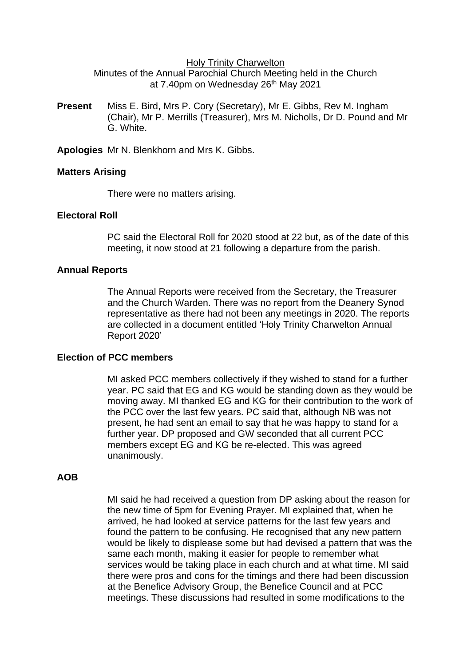#### Holy Trinity Charwelton

Minutes of the Annual Parochial Church Meeting held in the Church at 7.40pm on Wednesday 26<sup>th</sup> May 2021

**Present** Miss E. Bird, Mrs P. Cory (Secretary), Mr E. Gibbs, Rev M. Ingham (Chair), Mr P. Merrills (Treasurer), Mrs M. Nicholls, Dr D. Pound and Mr G. White.

**Apologies** Mr N. Blenkhorn and Mrs K. Gibbs.

#### **Matters Arising**

There were no matters arising.

#### **Electoral Roll**

PC said the Electoral Roll for 2020 stood at 22 but, as of the date of this meeting, it now stood at 21 following a departure from the parish.

#### **Annual Reports**

The Annual Reports were received from the Secretary, the Treasurer and the Church Warden. There was no report from the Deanery Synod representative as there had not been any meetings in 2020. The reports are collected in a document entitled 'Holy Trinity Charwelton Annual Report 2020'

### **Election of PCC members**

MI asked PCC members collectively if they wished to stand for a further year. PC said that EG and KG would be standing down as they would be moving away. MI thanked EG and KG for their contribution to the work of the PCC over the last few years. PC said that, although NB was not present, he had sent an email to say that he was happy to stand for a further year. DP proposed and GW seconded that all current PCC members except EG and KG be re-elected. This was agreed unanimously.

### **AOB**

MI said he had received a question from DP asking about the reason for the new time of 5pm for Evening Prayer. MI explained that, when he arrived, he had looked at service patterns for the last few years and found the pattern to be confusing. He recognised that any new pattern would be likely to displease some but had devised a pattern that was the same each month, making it easier for people to remember what services would be taking place in each church and at what time. MI said there were pros and cons for the timings and there had been discussion at the Benefice Advisory Group, the Benefice Council and at PCC meetings. These discussions had resulted in some modifications to the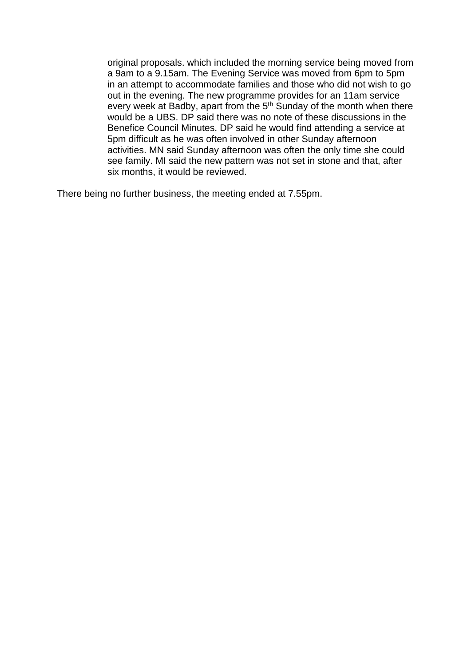original proposals. which included the morning service being moved from a 9am to a 9.15am. The Evening Service was moved from 6pm to 5pm in an attempt to accommodate families and those who did not wish to go out in the evening. The new programme provides for an 11am service every week at Badby, apart from the 5<sup>th</sup> Sunday of the month when there would be a UBS. DP said there was no note of these discussions in the Benefice Council Minutes. DP said he would find attending a service at 5pm difficult as he was often involved in other Sunday afternoon activities. MN said Sunday afternoon was often the only time she could see family. MI said the new pattern was not set in stone and that, after six months, it would be reviewed.

There being no further business, the meeting ended at 7.55pm.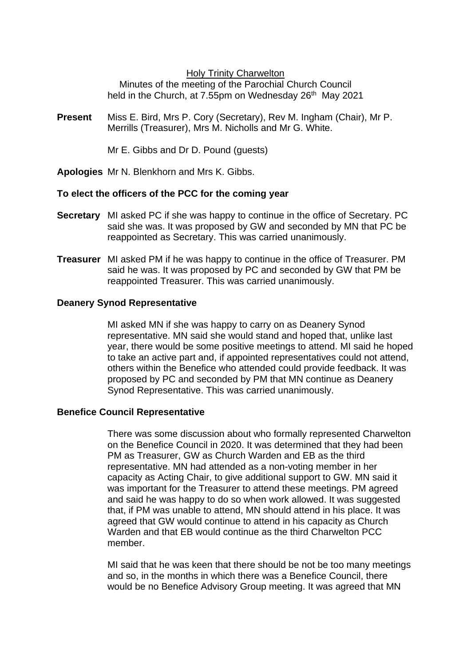### Holy Trinity Charwelton

Minutes of the meeting of the Parochial Church Council held in the Church, at 7.55pm on Wednesday 26<sup>th</sup> May 2021

**Present** Miss E. Bird, Mrs P. Cory (Secretary), Rev M. Ingham (Chair), Mr P. Merrills (Treasurer), Mrs M. Nicholls and Mr G. White.

Mr E. Gibbs and Dr D. Pound (guests)

**Apologies** Mr N. Blenkhorn and Mrs K. Gibbs.

## **To elect the officers of the PCC for the coming year**

- **Secretary** MI asked PC if she was happy to continue in the office of Secretary. PC said she was. It was proposed by GW and seconded by MN that PC be reappointed as Secretary. This was carried unanimously.
- **Treasurer** MI asked PM if he was happy to continue in the office of Treasurer. PM said he was. It was proposed by PC and seconded by GW that PM be reappointed Treasurer. This was carried unanimously.

### **Deanery Synod Representative**

MI asked MN if she was happy to carry on as Deanery Synod representative. MN said she would stand and hoped that, unlike last year, there would be some positive meetings to attend. MI said he hoped to take an active part and, if appointed representatives could not attend, others within the Benefice who attended could provide feedback. It was proposed by PC and seconded by PM that MN continue as Deanery Synod Representative. This was carried unanimously.

### **Benefice Council Representative**

There was some discussion about who formally represented Charwelton on the Benefice Council in 2020. It was determined that they had been PM as Treasurer, GW as Church Warden and EB as the third representative. MN had attended as a non-voting member in her capacity as Acting Chair, to give additional support to GW. MN said it was important for the Treasurer to attend these meetings. PM agreed and said he was happy to do so when work allowed. It was suggested that, if PM was unable to attend, MN should attend in his place. It was agreed that GW would continue to attend in his capacity as Church Warden and that EB would continue as the third Charwelton PCC member.

MI said that he was keen that there should be not be too many meetings and so, in the months in which there was a Benefice Council, there would be no Benefice Advisory Group meeting. It was agreed that MN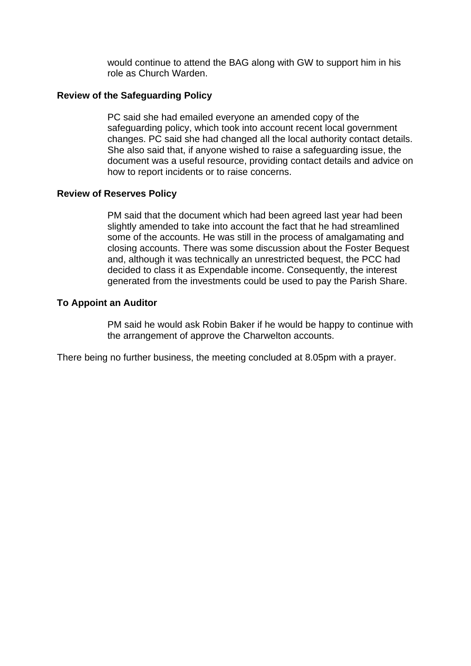would continue to attend the BAG along with GW to support him in his role as Church Warden.

### **Review of the Safeguarding Policy**

PC said she had emailed everyone an amended copy of the safeguarding policy, which took into account recent local government changes. PC said she had changed all the local authority contact details. She also said that, if anyone wished to raise a safeguarding issue, the document was a useful resource, providing contact details and advice on how to report incidents or to raise concerns.

### **Review of Reserves Policy**

PM said that the document which had been agreed last year had been slightly amended to take into account the fact that he had streamlined some of the accounts. He was still in the process of amalgamating and closing accounts. There was some discussion about the Foster Bequest and, although it was technically an unrestricted bequest, the PCC had decided to class it as Expendable income. Consequently, the interest generated from the investments could be used to pay the Parish Share.

## **To Appoint an Auditor**

PM said he would ask Robin Baker if he would be happy to continue with the arrangement of approve the Charwelton accounts.

There being no further business, the meeting concluded at 8.05pm with a prayer.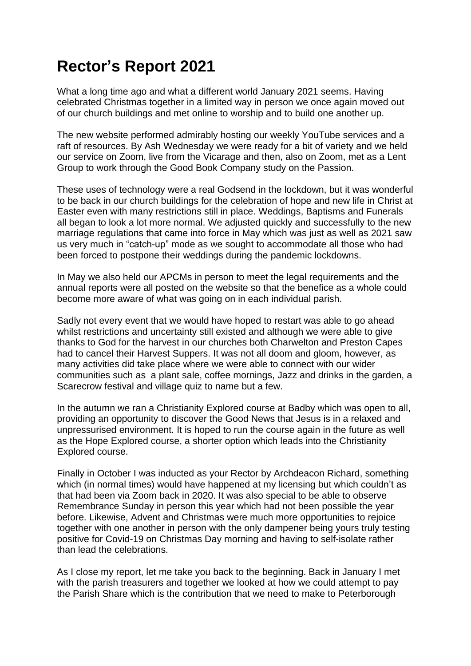# **Rector's Report 2021**

What a long time ago and what a different world January 2021 seems. Having celebrated Christmas together in a limited way in person we once again moved out of our church buildings and met online to worship and to build one another up.

The new website performed admirably hosting our weekly YouTube services and a raft of resources. By Ash Wednesday we were ready for a bit of variety and we held our service on Zoom, live from the Vicarage and then, also on Zoom, met as a Lent Group to work through the Good Book Company study on the Passion.

These uses of technology were a real Godsend in the lockdown, but it was wonderful to be back in our church buildings for the celebration of hope and new life in Christ at Easter even with many restrictions still in place. Weddings, Baptisms and Funerals all began to look a lot more normal. We adjusted quickly and successfully to the new marriage regulations that came into force in May which was just as well as 2021 saw us very much in "catch-up" mode as we sought to accommodate all those who had been forced to postpone their weddings during the pandemic lockdowns.

In May we also held our APCMs in person to meet the legal requirements and the annual reports were all posted on the website so that the benefice as a whole could become more aware of what was going on in each individual parish.

Sadly not every event that we would have hoped to restart was able to go ahead whilst restrictions and uncertainty still existed and although we were able to give thanks to God for the harvest in our churches both Charwelton and Preston Capes had to cancel their Harvest Suppers. It was not all doom and gloom, however, as many activities did take place where we were able to connect with our wider communities such as a plant sale, coffee mornings, Jazz and drinks in the garden, a Scarecrow festival and village quiz to name but a few.

In the autumn we ran a Christianity Explored course at Badby which was open to all, providing an opportunity to discover the Good News that Jesus is in a relaxed and unpressurised environment. It is hoped to run the course again in the future as well as the Hope Explored course, a shorter option which leads into the Christianity Explored course.

Finally in October I was inducted as your Rector by Archdeacon Richard, something which (in normal times) would have happened at my licensing but which couldn't as that had been via Zoom back in 2020. It was also special to be able to observe Remembrance Sunday in person this year which had not been possible the year before. Likewise, Advent and Christmas were much more opportunities to rejoice together with one another in person with the only dampener being yours truly testing positive for Covid-19 on Christmas Day morning and having to self-isolate rather than lead the celebrations.

As I close my report, let me take you back to the beginning. Back in January I met with the parish treasurers and together we looked at how we could attempt to pay the Parish Share which is the contribution that we need to make to Peterborough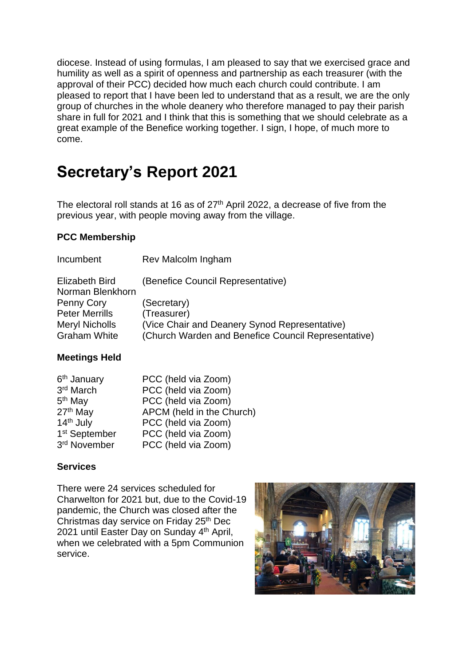diocese. Instead of using formulas, I am pleased to say that we exercised grace and humility as well as a spirit of openness and partnership as each treasurer (with the approval of their PCC) decided how much each church could contribute. I am pleased to report that I have been led to understand that as a result, we are the only group of churches in the whole deanery who therefore managed to pay their parish share in full for 2021 and I think that this is something that we should celebrate as a great example of the Benefice working together. I sign, I hope, of much more to come.

# **Secretary's Report 2021**

The electoral roll stands at 16 as of  $27<sup>th</sup>$  April 2022, a decrease of five from the previous year, with people moving away from the village.

# **PCC Membership**

| Incumbent                          | Rev Malcolm Ingham                                  |
|------------------------------------|-----------------------------------------------------|
| Elizabeth Bird<br>Norman Blenkhorn | (Benefice Council Representative)                   |
| Penny Cory                         | (Secretary)                                         |
| <b>Peter Merrills</b>              | (Treasurer)                                         |
| <b>Meryl Nicholls</b>              | (Vice Chair and Deanery Synod Representative)       |
| <b>Graham White</b>                | (Church Warden and Benefice Council Representative) |

# **Meetings Held**

| 6 <sup>th</sup> January   | PCC (held via Zoom)       |
|---------------------------|---------------------------|
| 3rd March                 | PCC (held via Zoom)       |
| 5 <sup>th</sup> May       | PCC (held via Zoom)       |
| 27 <sup>th</sup> May      | APCM (held in the Church) |
| 14th July                 | PCC (held via Zoom)       |
| 1 <sup>st</sup> September | PCC (held via Zoom)       |
| 3rd November              | PCC (held via Zoom)       |

# **Services**

There were 24 services scheduled for Charwelton for 2021 but, due to the Covid-19 pandemic, the Church was closed after the Christmas day service on Friday 25<sup>th</sup> Dec 2021 until Easter Day on Sunday 4<sup>th</sup> April, when we celebrated with a 5pm Communion service.

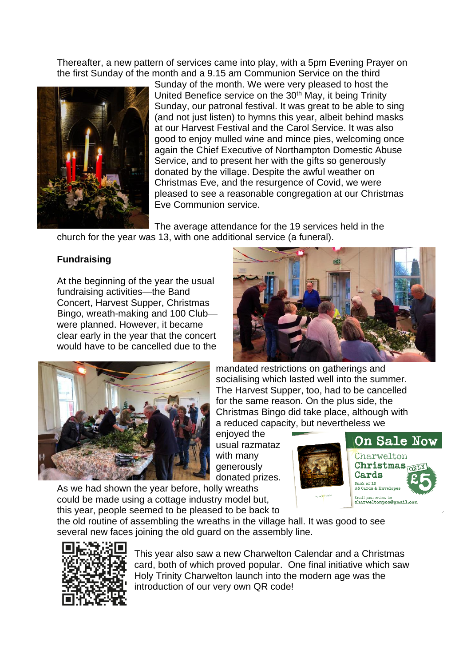Thereafter, a new pattern of services came into play, with a 5pm Evening Prayer on the first Sunday of the month and a 9.15 am Communion Service on the third



Sunday of the month. We were very pleased to host the United Benefice service on the 30<sup>th</sup> May, it being Trinity Sunday, our patronal festival. It was great to be able to sing (and not just listen) to hymns this year, albeit behind masks at our Harvest Festival and the Carol Service. It was also good to enjoy mulled wine and mince pies, welcoming once again the Chief Executive of Northampton Domestic Abuse Service, and to present her with the gifts so generously donated by the village. Despite the awful weather on Christmas Eve, and the resurgence of Covid, we were pleased to see a reasonable congregation at our Christmas Eve Communion service.

The average attendance for the 19 services held in the church for the year was 13, with one additional service (a funeral).

# **Fundraising**

At the beginning of the year the usual fundraising activities—the Band Concert, Harvest Supper, Christmas Bingo, wreath-making and 100 Club were planned. However, it became clear early in the year that the concert would have to be cancelled due to the





mandated restrictions on gatherings and socialising which lasted well into the summer. The Harvest Supper, too, had to be cancelled for the same reason. On the plus side, the Christmas Bingo did take place, although with a reduced capacity, but nevertheless we

enjoyed the usual razmataz with many generously donated prizes.

**On Sale Now** Charwelton Christmas<sub>ONLY</sub> Cards  $$ Pack of IU<br>A6 Cards & Envelope

As we had shown the year before, holly wreaths could be made using a cottage industry model but, this year, people seemed to be pleased to be back to



the old routine of assembling the wreaths in the village hall. It was good to see several new faces joining the old guard on the assembly line.



This year also saw a new Charwelton Calendar and a Christmas card, both of which proved popular. One final initiative which saw Holy Trinity Charwelton launch into the modern age was the introduction of our very own QR code!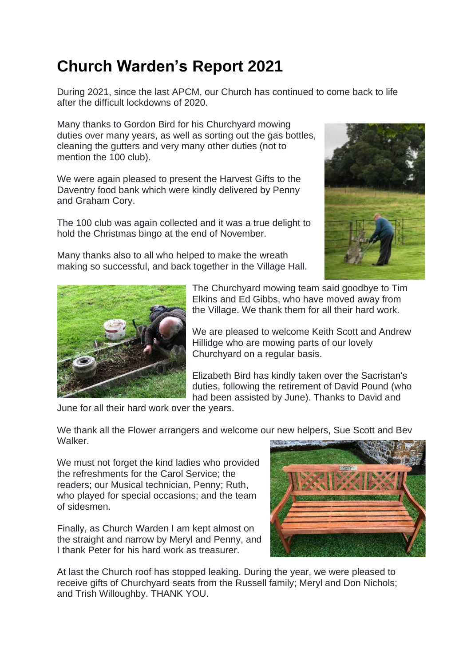# **Church Warden's Report 2021**

During 2021, since the last APCM, our Church has continued to come back to life after the difficult lockdowns of 2020.

Many thanks to Gordon Bird for his Churchyard mowing duties over many years, as well as sorting out the gas bottles, cleaning the gutters and very many other duties (not to mention the 100 club).

We were again pleased to present the Harvest Gifts to the Daventry food bank which were kindly delivered by Penny and Graham Cory.

The 100 club was again collected and it was a true delight to hold the Christmas bingo at the end of November.

Many thanks also to all who helped to make the wreath making so successful, and back together in the Village Hall.





The Churchyard mowing team said goodbye to Tim Elkins and Ed Gibbs, who have moved away from the Village. We thank them for all their hard work.

We are pleased to welcome Keith Scott and Andrew Hillidge who are mowing parts of our lovely Churchyard on a regular basis.

Elizabeth Bird has kindly taken over the Sacristan's duties, following the retirement of David Pound (who had been assisted by June). Thanks to David and

June for all their hard work over the years.

We thank all the Flower arrangers and welcome our new helpers, Sue Scott and Bev **Walker** 

We must not forget the kind ladies who provided the refreshments for the Carol Service; the readers; our Musical technician, Penny; Ruth, who played for special occasions; and the team of sidesmen.

Finally, as Church Warden I am kept almost on the straight and narrow by Meryl and Penny, and I thank Peter for his hard work as treasurer.



At last the Church roof has stopped leaking. During the year, we were pleased to receive gifts of Churchyard seats from the Russell family; Meryl and Don Nichols; and Trish Willoughby. THANK YOU.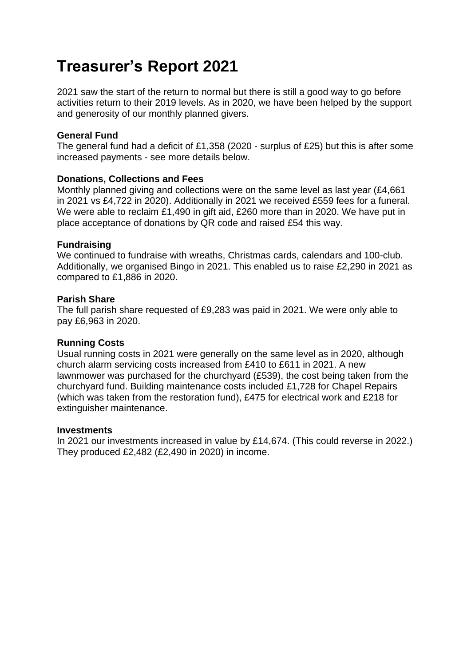# **Treasurer's Report 2021**

2021 saw the start of the return to normal but there is still a good way to go before activities return to their 2019 levels. As in 2020, we have been helped by the support and generosity of our monthly planned givers.

## **General Fund**

The general fund had a deficit of £1,358 (2020 - surplus of £25) but this is after some increased payments - see more details below.

### **Donations, Collections and Fees**

Monthly planned giving and collections were on the same level as last year (£4,661 in 2021 vs £4,722 in 2020). Additionally in 2021 we received £559 fees for a funeral. We were able to reclaim £1,490 in gift aid, £260 more than in 2020. We have put in place acceptance of donations by QR code and raised £54 this way.

### **Fundraising**

We continued to fundraise with wreaths, Christmas cards, calendars and 100-club. Additionally, we organised Bingo in 2021. This enabled us to raise £2,290 in 2021 as compared to £1,886 in 2020.

### **Parish Share**

The full parish share requested of £9,283 was paid in 2021. We were only able to pay £6,963 in 2020.

### **Running Costs**

Usual running costs in 2021 were generally on the same level as in 2020, although church alarm servicing costs increased from £410 to £611 in 2021. A new lawnmower was purchased for the churchyard (£539), the cost being taken from the churchyard fund. Building maintenance costs included £1,728 for Chapel Repairs (which was taken from the restoration fund), £475 for electrical work and £218 for extinguisher maintenance.

### **Investments**

In 2021 our investments increased in value by £14,674. (This could reverse in 2022.) They produced £2,482 (£2,490 in 2020) in income.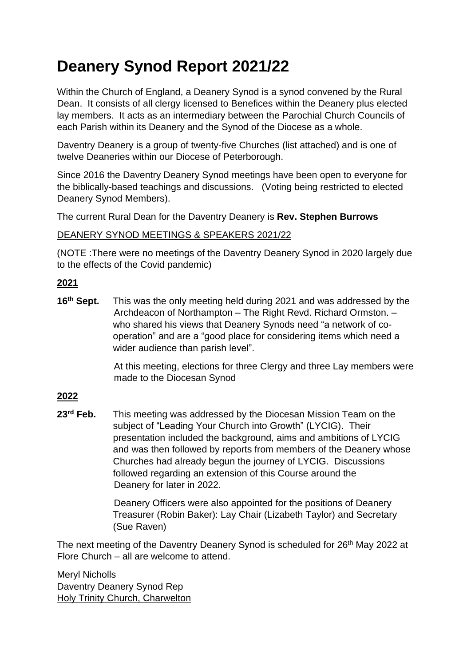# **Deanery Synod Report 2021/22**

Within the Church of England, a Deanery Synod is a synod convened by the Rural Dean. It consists of all clergy licensed to Benefices within the Deanery plus elected lay members. It acts as an intermediary between the Parochial Church Councils of each Parish within its Deanery and the Synod of the Diocese as a whole.

Daventry Deanery is a group of twenty-five Churches (list attached) and is one of twelve Deaneries within our Diocese of Peterborough.

Since 2016 the Daventry Deanery Synod meetings have been open to everyone for the biblically-based teachings and discussions. (Voting being restricted to elected Deanery Synod Members).

The current Rural Dean for the Daventry Deanery is **Rev. Stephen Burrows**

## DEANERY SYNOD MEETINGS & SPEAKERS 2021/22

(NOTE :There were no meetings of the Daventry Deanery Synod in 2020 largely due to the effects of the Covid pandemic)

## **2021**

**16th Sept.** This was the only meeting held during 2021 and was addressed by the Archdeacon of Northampton – The Right Revd. Richard Ormston. – who shared his views that Deanery Synods need "a network of cooperation" and are a "good place for considering items which need a wider audience than parish level".

> At this meeting, elections for three Clergy and three Lay members were made to the Diocesan Synod

# **2022**

**23rd Feb.** This meeting was addressed by the Diocesan Mission Team on the subject of "Leading Your Church into Growth" (LYCIG). Their presentation included the background, aims and ambitions of LYCIG and was then followed by reports from members of the Deanery whose Churches had already begun the journey of LYCIG. Discussions followed regarding an extension of this Course around the Deanery for later in 2022.

> Deanery Officers were also appointed for the positions of Deanery Treasurer (Robin Baker): Lay Chair (Lizabeth Taylor) and Secretary (Sue Raven)

The next meeting of the Daventry Deanery Synod is scheduled for 26<sup>th</sup> May 2022 at Flore Church – all are welcome to attend.

Meryl Nicholls Daventry Deanery Synod Rep Holy Trinity Church, Charwelton